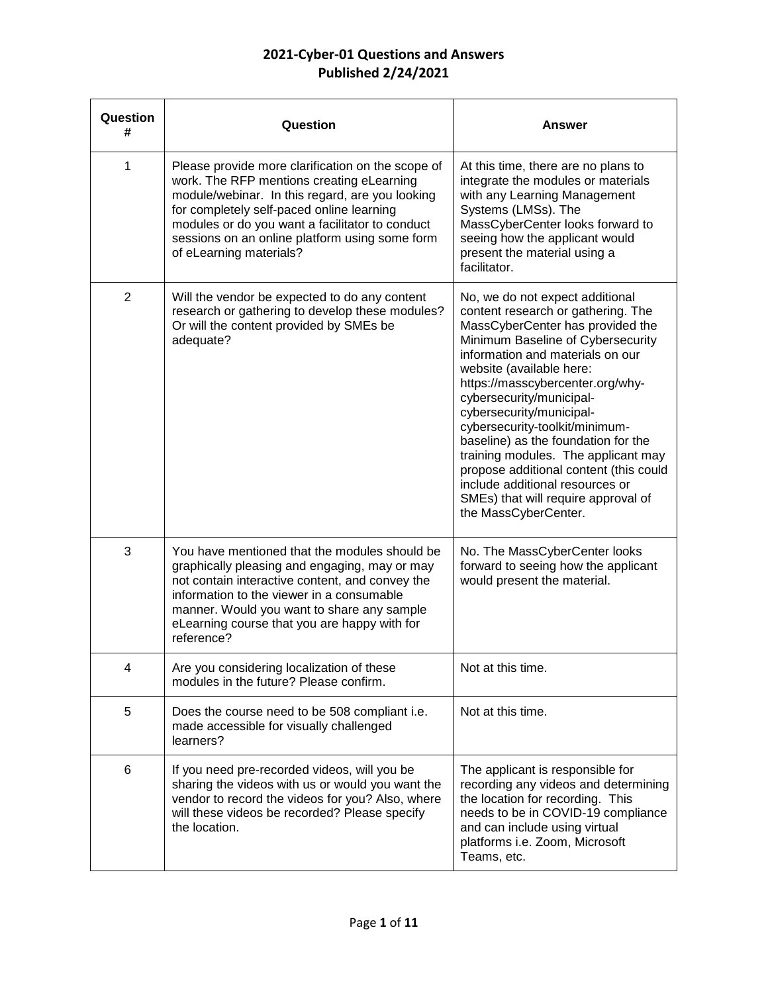| Question<br># | Question                                                                                                                                                                                                                                                                                                                       | Answer                                                                                                                                                                                                                                                                                                                                                                                                                                                                                                                                                                 |
|---------------|--------------------------------------------------------------------------------------------------------------------------------------------------------------------------------------------------------------------------------------------------------------------------------------------------------------------------------|------------------------------------------------------------------------------------------------------------------------------------------------------------------------------------------------------------------------------------------------------------------------------------------------------------------------------------------------------------------------------------------------------------------------------------------------------------------------------------------------------------------------------------------------------------------------|
| 1             | Please provide more clarification on the scope of<br>work. The RFP mentions creating eLearning<br>module/webinar. In this regard, are you looking<br>for completely self-paced online learning<br>modules or do you want a facilitator to conduct<br>sessions on an online platform using some form<br>of eLearning materials? | At this time, there are no plans to<br>integrate the modules or materials<br>with any Learning Management<br>Systems (LMSs). The<br>MassCyberCenter looks forward to<br>seeing how the applicant would<br>present the material using a<br>facilitator.                                                                                                                                                                                                                                                                                                                 |
| 2             | Will the vendor be expected to do any content<br>research or gathering to develop these modules?<br>Or will the content provided by SMEs be<br>adequate?                                                                                                                                                                       | No, we do not expect additional<br>content research or gathering. The<br>MassCyberCenter has provided the<br>Minimum Baseline of Cybersecurity<br>information and materials on our<br>website (available here:<br>https://masscybercenter.org/why-<br>cybersecurity/municipal-<br>cybersecurity/municipal-<br>cybersecurity-toolkit/minimum-<br>baseline) as the foundation for the<br>training modules. The applicant may<br>propose additional content (this could<br>include additional resources or<br>SMEs) that will require approval of<br>the MassCyberCenter. |
| 3             | You have mentioned that the modules should be<br>graphically pleasing and engaging, may or may<br>not contain interactive content, and convey the<br>information to the viewer in a consumable<br>manner. Would you want to share any sample<br>eLearning course that you are happy with for<br>reference?                     | No. The MassCyberCenter looks<br>forward to seeing how the applicant<br>would present the material.                                                                                                                                                                                                                                                                                                                                                                                                                                                                    |
| 4             | Are you considering localization of these<br>modules in the future? Please confirm.                                                                                                                                                                                                                                            | Not at this time.                                                                                                                                                                                                                                                                                                                                                                                                                                                                                                                                                      |
| 5             | Does the course need to be 508 compliant i.e.<br>made accessible for visually challenged<br>learners?                                                                                                                                                                                                                          | Not at this time.                                                                                                                                                                                                                                                                                                                                                                                                                                                                                                                                                      |
| 6             | If you need pre-recorded videos, will you be<br>sharing the videos with us or would you want the<br>vendor to record the videos for you? Also, where<br>will these videos be recorded? Please specify<br>the location.                                                                                                         | The applicant is responsible for<br>recording any videos and determining<br>the location for recording. This<br>needs to be in COVID-19 compliance<br>and can include using virtual<br>platforms i.e. Zoom, Microsoft<br>Teams, etc.                                                                                                                                                                                                                                                                                                                                   |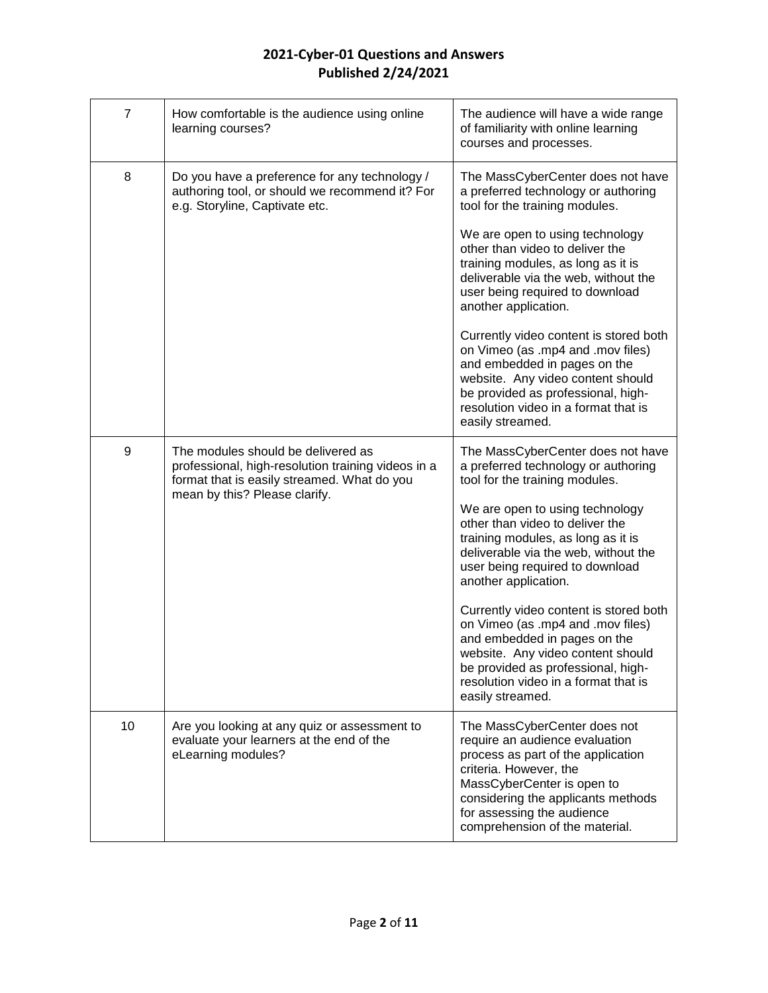| $\overline{7}$ | How comfortable is the audience using online<br>learning courses?                                                                                                        | The audience will have a wide range<br>of familiarity with online learning<br>courses and processes.                                                                                                                                                               |
|----------------|--------------------------------------------------------------------------------------------------------------------------------------------------------------------------|--------------------------------------------------------------------------------------------------------------------------------------------------------------------------------------------------------------------------------------------------------------------|
| 8              | Do you have a preference for any technology /<br>authoring tool, or should we recommend it? For<br>e.g. Storyline, Captivate etc.                                        | The MassCyberCenter does not have<br>a preferred technology or authoring<br>tool for the training modules.                                                                                                                                                         |
|                |                                                                                                                                                                          | We are open to using technology<br>other than video to deliver the<br>training modules, as long as it is<br>deliverable via the web, without the<br>user being required to download<br>another application.                                                        |
|                |                                                                                                                                                                          | Currently video content is stored both<br>on Vimeo (as .mp4 and .mov files)<br>and embedded in pages on the<br>website. Any video content should<br>be provided as professional, high-<br>resolution video in a format that is<br>easily streamed.                 |
| 9              | The modules should be delivered as<br>professional, high-resolution training videos in a<br>format that is easily streamed. What do you<br>mean by this? Please clarify. | The MassCyberCenter does not have<br>a preferred technology or authoring<br>tool for the training modules.                                                                                                                                                         |
|                |                                                                                                                                                                          | We are open to using technology<br>other than video to deliver the<br>training modules, as long as it is<br>deliverable via the web, without the<br>user being required to download<br>another application.                                                        |
|                |                                                                                                                                                                          | Currently video content is stored both<br>on Vimeo (as .mp4 and .mov files)<br>and embedded in pages on the<br>website. Any video content should<br>be provided as professional, high-<br>resolution video in a format that is<br>easily streamed.                 |
| 10             | Are you looking at any quiz or assessment to<br>evaluate your learners at the end of the<br>eLearning modules?                                                           | The MassCyberCenter does not<br>require an audience evaluation<br>process as part of the application<br>criteria. However, the<br>MassCyberCenter is open to<br>considering the applicants methods<br>for assessing the audience<br>comprehension of the material. |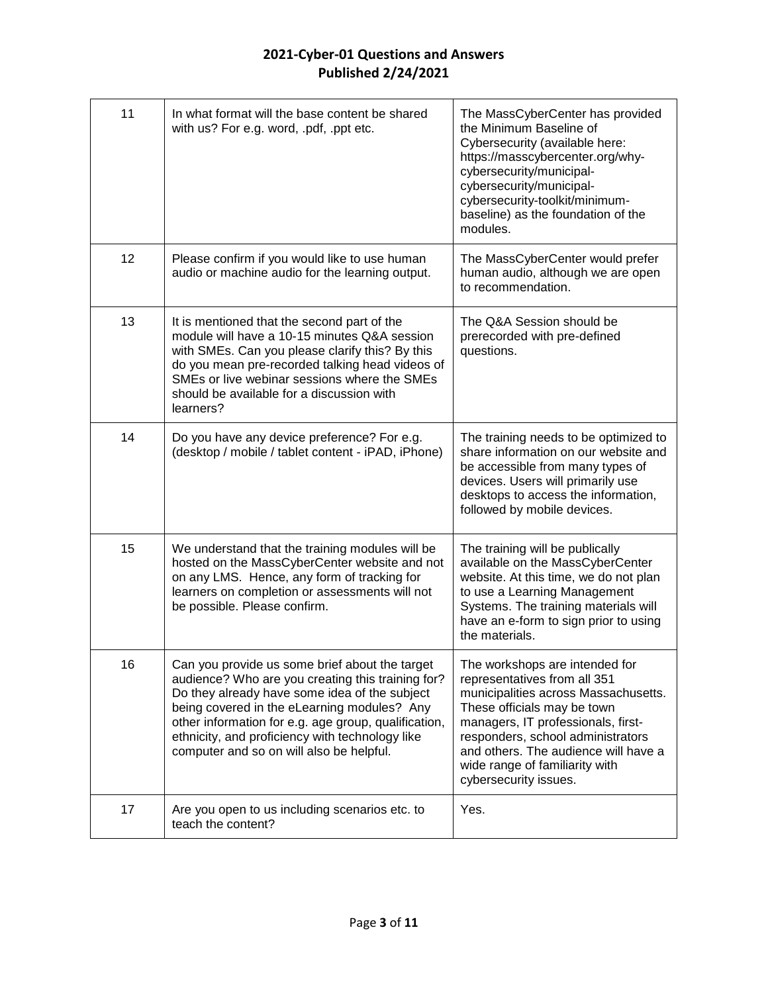| 11 | In what format will the base content be shared<br>with us? For e.g. word, .pdf, .ppt etc.                                                                                                                                                                                                                                                                  | The MassCyberCenter has provided<br>the Minimum Baseline of<br>Cybersecurity (available here:<br>https://masscybercenter.org/why-<br>cybersecurity/municipal-<br>cybersecurity/municipal-<br>cybersecurity-toolkit/minimum-<br>baseline) as the foundation of the<br>modules.                                       |
|----|------------------------------------------------------------------------------------------------------------------------------------------------------------------------------------------------------------------------------------------------------------------------------------------------------------------------------------------------------------|---------------------------------------------------------------------------------------------------------------------------------------------------------------------------------------------------------------------------------------------------------------------------------------------------------------------|
| 12 | Please confirm if you would like to use human<br>audio or machine audio for the learning output.                                                                                                                                                                                                                                                           | The MassCyberCenter would prefer<br>human audio, although we are open<br>to recommendation.                                                                                                                                                                                                                         |
| 13 | It is mentioned that the second part of the<br>module will have a 10-15 minutes Q&A session<br>with SMEs. Can you please clarify this? By this<br>do you mean pre-recorded talking head videos of<br>SMEs or live webinar sessions where the SMEs<br>should be available for a discussion with<br>learners?                                                | The Q&A Session should be<br>prerecorded with pre-defined<br>questions.                                                                                                                                                                                                                                             |
| 14 | Do you have any device preference? For e.g.<br>(desktop / mobile / tablet content - iPAD, iPhone)                                                                                                                                                                                                                                                          | The training needs to be optimized to<br>share information on our website and<br>be accessible from many types of<br>devices. Users will primarily use<br>desktops to access the information,<br>followed by mobile devices.                                                                                        |
| 15 | We understand that the training modules will be<br>hosted on the MassCyberCenter website and not<br>on any LMS. Hence, any form of tracking for<br>learners on completion or assessments will not<br>be possible. Please confirm.                                                                                                                          | The training will be publically<br>available on the MassCyberCenter<br>website. At this time, we do not plan<br>to use a Learning Management<br>Systems. The training materials will<br>have an e-form to sign prior to using<br>the materials.                                                                     |
| 16 | Can you provide us some brief about the target<br>audience? Who are you creating this training for?<br>Do they already have some idea of the subject<br>being covered in the eLearning modules? Any<br>other information for e.g. age group, qualification,<br>ethnicity, and proficiency with technology like<br>computer and so on will also be helpful. | The workshops are intended for<br>representatives from all 351<br>municipalities across Massachusetts.<br>These officials may be town<br>managers, IT professionals, first-<br>responders, school administrators<br>and others. The audience will have a<br>wide range of familiarity with<br>cybersecurity issues. |
| 17 | Are you open to us including scenarios etc. to<br>teach the content?                                                                                                                                                                                                                                                                                       | Yes.                                                                                                                                                                                                                                                                                                                |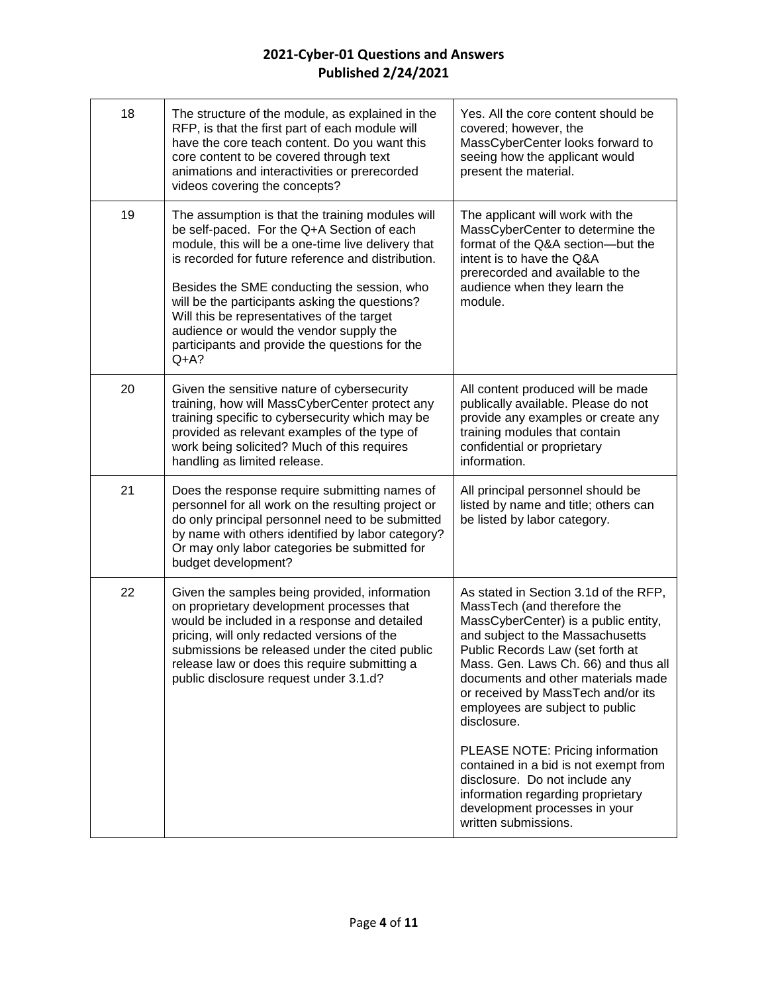| 18 | The structure of the module, as explained in the<br>RFP, is that the first part of each module will<br>have the core teach content. Do you want this<br>core content to be covered through text<br>animations and interactivities or prerecorded<br>videos covering the concepts?                                                                                                                                                                                | Yes. All the core content should be<br>covered; however, the<br>MassCyberCenter looks forward to<br>seeing how the applicant would<br>present the material.                                                                                                                                                                                                |
|----|------------------------------------------------------------------------------------------------------------------------------------------------------------------------------------------------------------------------------------------------------------------------------------------------------------------------------------------------------------------------------------------------------------------------------------------------------------------|------------------------------------------------------------------------------------------------------------------------------------------------------------------------------------------------------------------------------------------------------------------------------------------------------------------------------------------------------------|
| 19 | The assumption is that the training modules will<br>be self-paced. For the Q+A Section of each<br>module, this will be a one-time live delivery that<br>is recorded for future reference and distribution.<br>Besides the SME conducting the session, who<br>will be the participants asking the questions?<br>Will this be representatives of the target<br>audience or would the vendor supply the<br>participants and provide the questions for the<br>$Q+A?$ | The applicant will work with the<br>MassCyberCenter to determine the<br>format of the Q&A section-but the<br>intent is to have the Q&A<br>prerecorded and available to the<br>audience when they learn the<br>module.                                                                                                                                      |
| 20 | Given the sensitive nature of cybersecurity<br>training, how will MassCyberCenter protect any<br>training specific to cybersecurity which may be<br>provided as relevant examples of the type of<br>work being solicited? Much of this requires<br>handling as limited release.                                                                                                                                                                                  | All content produced will be made<br>publically available. Please do not<br>provide any examples or create any<br>training modules that contain<br>confidential or proprietary<br>information.                                                                                                                                                             |
| 21 | Does the response require submitting names of<br>personnel for all work on the resulting project or<br>do only principal personnel need to be submitted<br>by name with others identified by labor category?<br>Or may only labor categories be submitted for<br>budget development?                                                                                                                                                                             | All principal personnel should be<br>listed by name and title; others can<br>be listed by labor category.                                                                                                                                                                                                                                                  |
| 22 | Given the samples being provided, information<br>on proprietary development processes that<br>would be included in a response and detailed<br>pricing, will only redacted versions of the<br>submissions be released under the cited public<br>release law or does this require submitting a<br>public disclosure request under 3.1.d?                                                                                                                           | As stated in Section 3.1d of the RFP,<br>MassTech (and therefore the<br>MassCyberCenter) is a public entity,<br>and subject to the Massachusetts<br>Public Records Law (set forth at<br>Mass. Gen. Laws Ch. 66) and thus all<br>documents and other materials made<br>or received by MassTech and/or its<br>employees are subject to public<br>disclosure. |
|    |                                                                                                                                                                                                                                                                                                                                                                                                                                                                  | PLEASE NOTE: Pricing information<br>contained in a bid is not exempt from<br>disclosure. Do not include any<br>information regarding proprietary<br>development processes in your<br>written submissions.                                                                                                                                                  |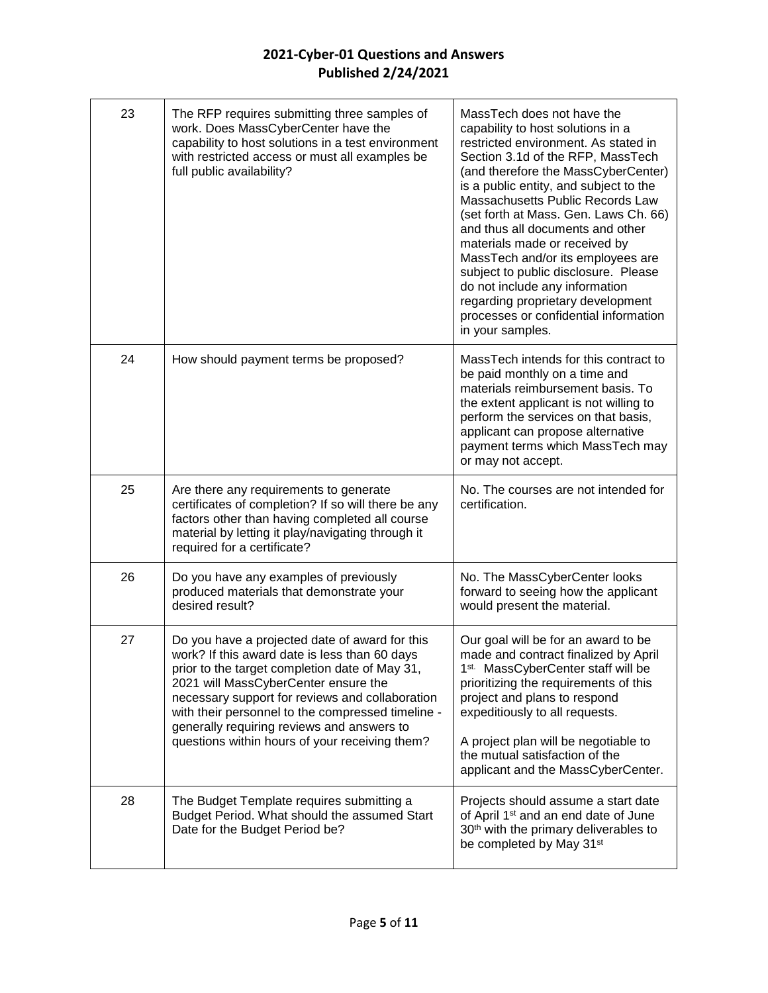| 23 | The RFP requires submitting three samples of<br>work. Does MassCyberCenter have the<br>capability to host solutions in a test environment<br>with restricted access or must all examples be<br>full public availability?                                                                                                                                                                          | MassTech does not have the<br>capability to host solutions in a<br>restricted environment. As stated in<br>Section 3.1d of the RFP, MassTech<br>(and therefore the MassCyberCenter)<br>is a public entity, and subject to the<br>Massachusetts Public Records Law<br>(set forth at Mass. Gen. Laws Ch. 66)<br>and thus all documents and other<br>materials made or received by<br>MassTech and/or its employees are<br>subject to public disclosure. Please<br>do not include any information<br>regarding proprietary development<br>processes or confidential information<br>in your samples. |
|----|---------------------------------------------------------------------------------------------------------------------------------------------------------------------------------------------------------------------------------------------------------------------------------------------------------------------------------------------------------------------------------------------------|--------------------------------------------------------------------------------------------------------------------------------------------------------------------------------------------------------------------------------------------------------------------------------------------------------------------------------------------------------------------------------------------------------------------------------------------------------------------------------------------------------------------------------------------------------------------------------------------------|
| 24 | How should payment terms be proposed?                                                                                                                                                                                                                                                                                                                                                             | MassTech intends for this contract to<br>be paid monthly on a time and<br>materials reimbursement basis. To<br>the extent applicant is not willing to<br>perform the services on that basis,<br>applicant can propose alternative<br>payment terms which MassTech may<br>or may not accept.                                                                                                                                                                                                                                                                                                      |
| 25 | Are there any requirements to generate<br>certificates of completion? If so will there be any<br>factors other than having completed all course<br>material by letting it play/navigating through it<br>required for a certificate?                                                                                                                                                               | No. The courses are not intended for<br>certification.                                                                                                                                                                                                                                                                                                                                                                                                                                                                                                                                           |
| 26 | Do you have any examples of previously<br>produced materials that demonstrate your<br>desired result?                                                                                                                                                                                                                                                                                             | No. The MassCyberCenter looks<br>forward to seeing how the applicant<br>would present the material.                                                                                                                                                                                                                                                                                                                                                                                                                                                                                              |
| 27 | Do you have a projected date of award for this<br>work? If this award date is less than 60 days<br>prior to the target completion date of May 31,<br>2021 will MassCyberCenter ensure the<br>necessary support for reviews and collaboration<br>with their personnel to the compressed timeline -<br>generally requiring reviews and answers to<br>questions within hours of your receiving them? | Our goal will be for an award to be<br>made and contract finalized by April<br>1 <sup>st.</sup> MassCyberCenter staff will be<br>prioritizing the requirements of this<br>project and plans to respond<br>expeditiously to all requests.<br>A project plan will be negotiable to<br>the mutual satisfaction of the<br>applicant and the MassCyberCenter.                                                                                                                                                                                                                                         |
| 28 | The Budget Template requires submitting a<br>Budget Period. What should the assumed Start<br>Date for the Budget Period be?                                                                                                                                                                                                                                                                       | Projects should assume a start date<br>of April 1 <sup>st</sup> and an end date of June<br>30 <sup>th</sup> with the primary deliverables to<br>be completed by May 31 <sup>st</sup>                                                                                                                                                                                                                                                                                                                                                                                                             |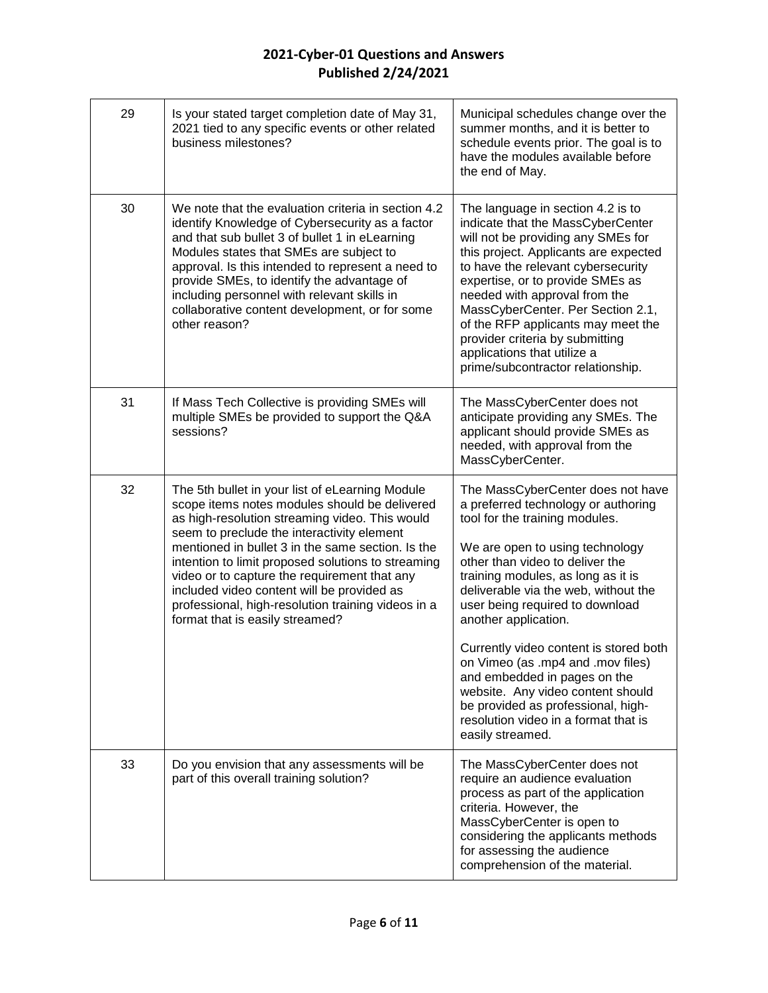| 29 | Is your stated target completion date of May 31,<br>2021 tied to any specific events or other related<br>business milestones?                                                                                                                                                                                                                                                                                                                                                                      | Municipal schedules change over the<br>summer months, and it is better to<br>schedule events prior. The goal is to<br>have the modules available before<br>the end of May.                                                                                                                                                                                                                                                                                                                                                                                                      |
|----|----------------------------------------------------------------------------------------------------------------------------------------------------------------------------------------------------------------------------------------------------------------------------------------------------------------------------------------------------------------------------------------------------------------------------------------------------------------------------------------------------|---------------------------------------------------------------------------------------------------------------------------------------------------------------------------------------------------------------------------------------------------------------------------------------------------------------------------------------------------------------------------------------------------------------------------------------------------------------------------------------------------------------------------------------------------------------------------------|
| 30 | We note that the evaluation criteria in section 4.2<br>identify Knowledge of Cybersecurity as a factor<br>and that sub bullet 3 of bullet 1 in eLearning<br>Modules states that SMEs are subject to<br>approval. Is this intended to represent a need to<br>provide SMEs, to identify the advantage of<br>including personnel with relevant skills in<br>collaborative content development, or for some<br>other reason?                                                                           | The language in section 4.2 is to<br>indicate that the MassCyberCenter<br>will not be providing any SMEs for<br>this project. Applicants are expected<br>to have the relevant cybersecurity<br>expertise, or to provide SMEs as<br>needed with approval from the<br>MassCyberCenter. Per Section 2.1,<br>of the RFP applicants may meet the<br>provider criteria by submitting<br>applications that utilize a<br>prime/subcontractor relationship.                                                                                                                              |
| 31 | If Mass Tech Collective is providing SMEs will<br>multiple SMEs be provided to support the Q&A<br>sessions?                                                                                                                                                                                                                                                                                                                                                                                        | The MassCyberCenter does not<br>anticipate providing any SMEs. The<br>applicant should provide SMEs as<br>needed, with approval from the<br>MassCyberCenter.                                                                                                                                                                                                                                                                                                                                                                                                                    |
| 32 | The 5th bullet in your list of eLearning Module<br>scope items notes modules should be delivered<br>as high-resolution streaming video. This would<br>seem to preclude the interactivity element<br>mentioned in bullet 3 in the same section. Is the<br>intention to limit proposed solutions to streaming<br>video or to capture the requirement that any<br>included video content will be provided as<br>professional, high-resolution training videos in a<br>format that is easily streamed? | The MassCyberCenter does not have<br>a preferred technology or authoring<br>tool for the training modules.<br>We are open to using technology<br>other than video to deliver the<br>training modules, as long as it is<br>deliverable via the web, without the<br>user being required to download<br>another application.<br>Currently video content is stored both<br>on Vimeo (as .mp4 and .mov files)<br>and embedded in pages on the<br>website. Any video content should<br>be provided as professional, high-<br>resolution video in a format that is<br>easily streamed. |
| 33 | Do you envision that any assessments will be<br>part of this overall training solution?                                                                                                                                                                                                                                                                                                                                                                                                            | The MassCyberCenter does not<br>require an audience evaluation<br>process as part of the application<br>criteria. However, the<br>MassCyberCenter is open to<br>considering the applicants methods<br>for assessing the audience<br>comprehension of the material.                                                                                                                                                                                                                                                                                                              |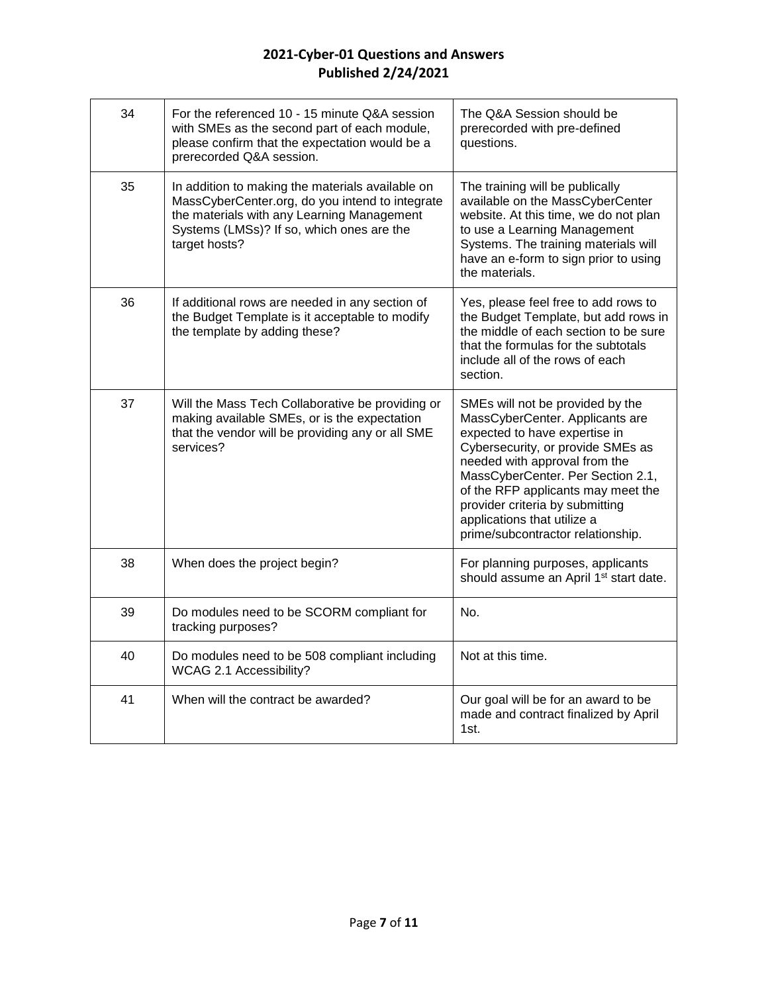| 34 | For the referenced 10 - 15 minute Q&A session<br>with SMEs as the second part of each module,<br>please confirm that the expectation would be a<br>prerecorded Q&A session.                                     | The Q&A Session should be<br>prerecorded with pre-defined<br>questions.                                                                                                                                                                                                                                                                                      |
|----|-----------------------------------------------------------------------------------------------------------------------------------------------------------------------------------------------------------------|--------------------------------------------------------------------------------------------------------------------------------------------------------------------------------------------------------------------------------------------------------------------------------------------------------------------------------------------------------------|
| 35 | In addition to making the materials available on<br>MassCyberCenter.org, do you intend to integrate<br>the materials with any Learning Management<br>Systems (LMSs)? If so, which ones are the<br>target hosts? | The training will be publically<br>available on the MassCyberCenter<br>website. At this time, we do not plan<br>to use a Learning Management<br>Systems. The training materials will<br>have an e-form to sign prior to using<br>the materials.                                                                                                              |
| 36 | If additional rows are needed in any section of<br>the Budget Template is it acceptable to modify<br>the template by adding these?                                                                              | Yes, please feel free to add rows to<br>the Budget Template, but add rows in<br>the middle of each section to be sure<br>that the formulas for the subtotals<br>include all of the rows of each<br>section.                                                                                                                                                  |
| 37 | Will the Mass Tech Collaborative be providing or<br>making available SMEs, or is the expectation<br>that the vendor will be providing any or all SME<br>services?                                               | SMEs will not be provided by the<br>MassCyberCenter. Applicants are<br>expected to have expertise in<br>Cybersecurity, or provide SMEs as<br>needed with approval from the<br>MassCyberCenter. Per Section 2.1,<br>of the RFP applicants may meet the<br>provider criteria by submitting<br>applications that utilize a<br>prime/subcontractor relationship. |
| 38 | When does the project begin?                                                                                                                                                                                    | For planning purposes, applicants<br>should assume an April 1 <sup>st</sup> start date.                                                                                                                                                                                                                                                                      |
| 39 | Do modules need to be SCORM compliant for<br>tracking purposes?                                                                                                                                                 | No.                                                                                                                                                                                                                                                                                                                                                          |
| 40 | Do modules need to be 508 compliant including<br>WCAG 2.1 Accessibility?                                                                                                                                        | Not at this time.                                                                                                                                                                                                                                                                                                                                            |
| 41 | When will the contract be awarded?                                                                                                                                                                              | Our goal will be for an award to be<br>made and contract finalized by April<br>1st.                                                                                                                                                                                                                                                                          |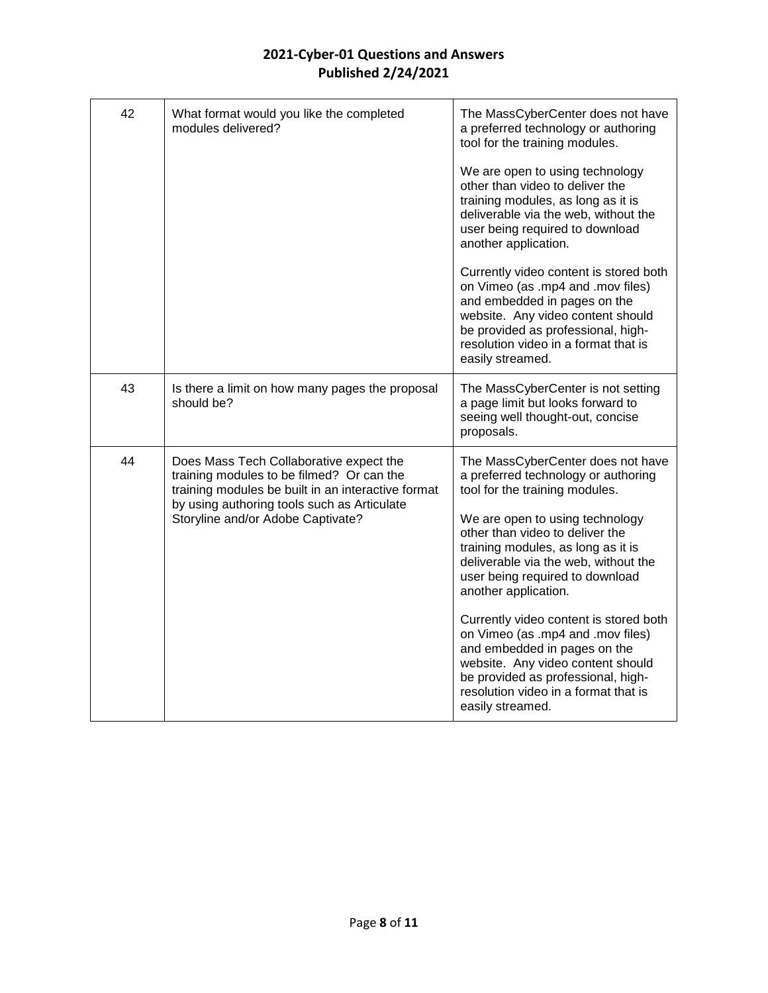| 42 | What format would you like the completed<br>modules delivered?                                                                                                                                                                 | The MassCyberCenter does not have<br>a preferred technology or authoring<br>tool for the training modules.<br>We are open to using technology<br>other than video to deliver the<br>training modules, as long as it is<br>deliverable via the web, without the<br>user being required to download<br>another application.<br>Currently video content is stored both<br>on Vimeo (as .mp4 and .mov files)<br>and embedded in pages on the<br>website. Any video content should<br>be provided as professional, high-<br>resolution video in a format that is<br>easily streamed. |
|----|--------------------------------------------------------------------------------------------------------------------------------------------------------------------------------------------------------------------------------|---------------------------------------------------------------------------------------------------------------------------------------------------------------------------------------------------------------------------------------------------------------------------------------------------------------------------------------------------------------------------------------------------------------------------------------------------------------------------------------------------------------------------------------------------------------------------------|
| 43 | Is there a limit on how many pages the proposal<br>should be?                                                                                                                                                                  | The MassCyberCenter is not setting<br>a page limit but looks forward to<br>seeing well thought-out, concise<br>proposals.                                                                                                                                                                                                                                                                                                                                                                                                                                                       |
| 44 | Does Mass Tech Collaborative expect the<br>training modules to be filmed? Or can the<br>training modules be built in an interactive format<br>by using authoring tools such as Articulate<br>Storyline and/or Adobe Captivate? | The MassCyberCenter does not have<br>a preferred technology or authoring<br>tool for the training modules.<br>We are open to using technology<br>other than video to deliver the<br>training modules, as long as it is<br>deliverable via the web, without the<br>user being required to download<br>another application.<br>Currently video content is stored both<br>on Vimeo (as .mp4 and .mov files)<br>and embedded in pages on the<br>website. Any video content should<br>be provided as professional, high-<br>resolution video in a format that is<br>easily streamed. |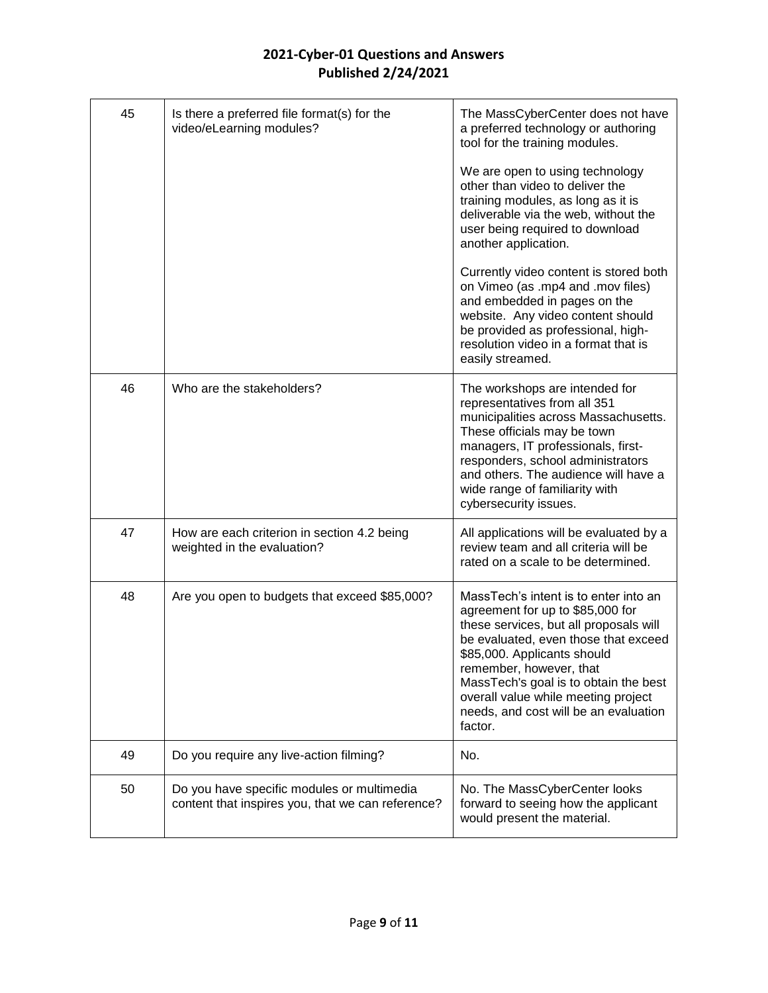| 45 | Is there a preferred file format(s) for the<br>video/eLearning modules?                         | The MassCyberCenter does not have<br>a preferred technology or authoring<br>tool for the training modules.<br>We are open to using technology<br>other than video to deliver the<br>training modules, as long as it is<br>deliverable via the web, without the<br>user being required to download<br>another application.<br>Currently video content is stored both<br>on Vimeo (as .mp4 and .mov files)<br>and embedded in pages on the<br>website. Any video content should |
|----|-------------------------------------------------------------------------------------------------|-------------------------------------------------------------------------------------------------------------------------------------------------------------------------------------------------------------------------------------------------------------------------------------------------------------------------------------------------------------------------------------------------------------------------------------------------------------------------------|
|    |                                                                                                 | be provided as professional, high-<br>resolution video in a format that is<br>easily streamed.                                                                                                                                                                                                                                                                                                                                                                                |
| 46 | Who are the stakeholders?                                                                       | The workshops are intended for<br>representatives from all 351<br>municipalities across Massachusetts.<br>These officials may be town<br>managers, IT professionals, first-<br>responders, school administrators<br>and others. The audience will have a<br>wide range of familiarity with<br>cybersecurity issues.                                                                                                                                                           |
| 47 | How are each criterion in section 4.2 being<br>weighted in the evaluation?                      | All applications will be evaluated by a<br>review team and all criteria will be<br>rated on a scale to be determined.                                                                                                                                                                                                                                                                                                                                                         |
| 48 | Are you open to budgets that exceed \$85,000?                                                   | MassTech's intent is to enter into an<br>agreement for up to \$85,000 for<br>these services, but all proposals will<br>be evaluated, even those that exceed<br>\$85,000. Applicants should<br>remember, however, that<br>MassTech's goal is to obtain the best<br>overall value while meeting project<br>needs, and cost will be an evaluation<br>factor.                                                                                                                     |
| 49 | Do you require any live-action filming?                                                         | No.                                                                                                                                                                                                                                                                                                                                                                                                                                                                           |
| 50 | Do you have specific modules or multimedia<br>content that inspires you, that we can reference? | No. The MassCyberCenter looks<br>forward to seeing how the applicant<br>would present the material.                                                                                                                                                                                                                                                                                                                                                                           |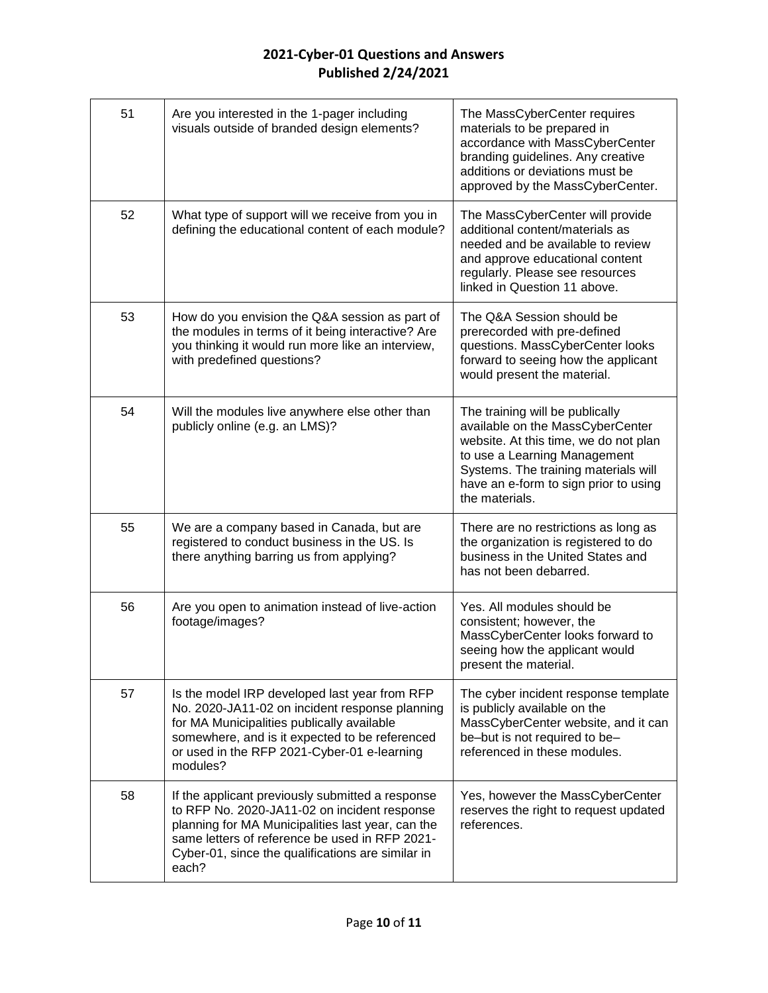| 51 | Are you interested in the 1-pager including<br>visuals outside of branded design elements?                                                                                                                                                                            | The MassCyberCenter requires<br>materials to be prepared in<br>accordance with MassCyberCenter<br>branding guidelines. Any creative<br>additions or deviations must be<br>approved by the MassCyberCenter.                                      |
|----|-----------------------------------------------------------------------------------------------------------------------------------------------------------------------------------------------------------------------------------------------------------------------|-------------------------------------------------------------------------------------------------------------------------------------------------------------------------------------------------------------------------------------------------|
| 52 | What type of support will we receive from you in<br>defining the educational content of each module?                                                                                                                                                                  | The MassCyberCenter will provide<br>additional content/materials as<br>needed and be available to review<br>and approve educational content<br>regularly. Please see resources<br>linked in Question 11 above.                                  |
| 53 | How do you envision the Q&A session as part of<br>the modules in terms of it being interactive? Are<br>you thinking it would run more like an interview,<br>with predefined questions?                                                                                | The Q&A Session should be<br>prerecorded with pre-defined<br>questions. MassCyberCenter looks<br>forward to seeing how the applicant<br>would present the material.                                                                             |
| 54 | Will the modules live anywhere else other than<br>publicly online (e.g. an LMS)?                                                                                                                                                                                      | The training will be publically<br>available on the MassCyberCenter<br>website. At this time, we do not plan<br>to use a Learning Management<br>Systems. The training materials will<br>have an e-form to sign prior to using<br>the materials. |
| 55 | We are a company based in Canada, but are<br>registered to conduct business in the US. Is<br>there anything barring us from applying?                                                                                                                                 | There are no restrictions as long as<br>the organization is registered to do<br>business in the United States and<br>has not been debarred.                                                                                                     |
| 56 | Are you open to animation instead of live-action<br>footage/images?                                                                                                                                                                                                   | Yes. All modules should be<br>consistent; however, the<br>MassCyberCenter looks forward to<br>seeing how the applicant would<br>present the material.                                                                                           |
| 57 | Is the model IRP developed last year from RFP<br>No. 2020-JA11-02 on incident response planning<br>for MA Municipalities publically available<br>somewhere, and is it expected to be referenced<br>or used in the RFP 2021-Cyber-01 e-learning<br>modules?            | The cyber incident response template<br>is publicly available on the<br>MassCyberCenter website, and it can<br>be-but is not required to be-<br>referenced in these modules.                                                                    |
| 58 | If the applicant previously submitted a response<br>to RFP No. 2020-JA11-02 on incident response<br>planning for MA Municipalities last year, can the<br>same letters of reference be used in RFP 2021-<br>Cyber-01, since the qualifications are similar in<br>each? | Yes, however the MassCyberCenter<br>reserves the right to request updated<br>references.                                                                                                                                                        |